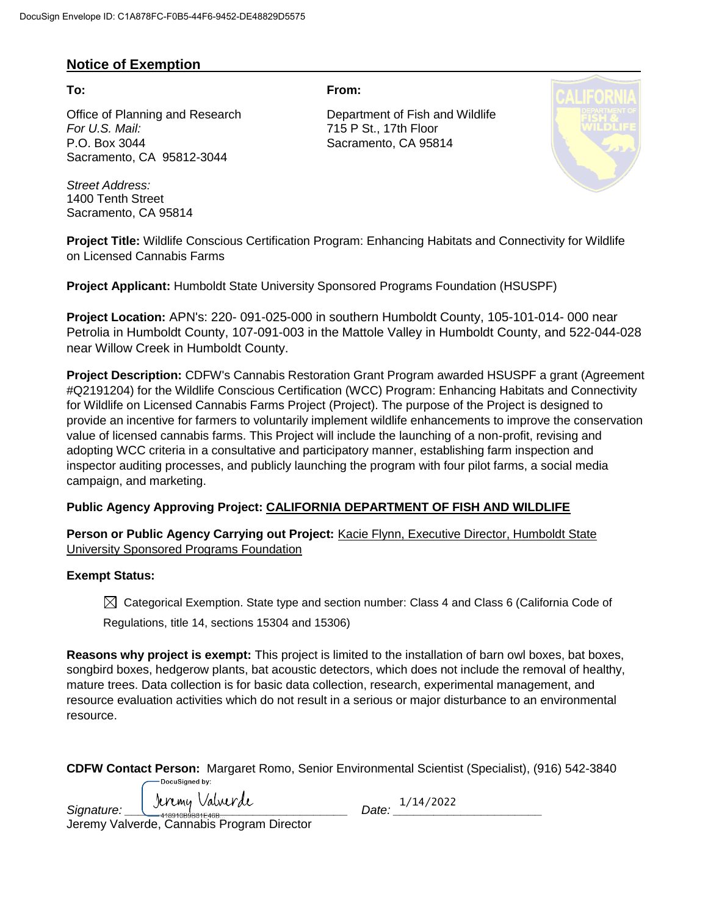### **Notice of Exemption**

Office of Planning and Research Department of Fish and Wildlife *For U.S. Mail:* 715 P St., 17th Floor P.O. Box 3044 Sacramento, CA 95814 Sacramento, CA 95812-3044

*Street Address:* 1400 Tenth Street Sacramento, CA 95814

**To: From:** 



**Project Title:** Wildlife Conscious Certification Program: Enhancing Habitats and Connectivity for Wildlife on Licensed Cannabis Farms

**Project Applicant:** Humboldt State University Sponsored Programs Foundation (HSUSPF)

**Project Location:** APN's: 220- 091-025-000 in southern Humboldt County, 105-101-014- 000 near Petrolia in Humboldt County, 107-091-003 in the Mattole Valley in Humboldt County, and 522-044-028 near Willow Creek in Humboldt County.

**Project Description:** CDFW's Cannabis Restoration Grant Program awarded HSUSPF a grant (Agreement #Q2191204) for the Wildlife Conscious Certification (WCC) Program: Enhancing Habitats and Connectivity for Wildlife on Licensed Cannabis Farms Project (Project). The purpose of the Project is designed to provide an incentive for farmers to voluntarily implement wildlife enhancements to improve the conservation value of licensed cannabis farms. This Project will include the launching of a non-profit, revising and adopting WCC criteria in a consultative and participatory manner, establishing farm inspection and inspector auditing processes, and publicly launching the program with four pilot farms, a social media campaign, and marketing.

### **Public Agency Approving Project: CALIFORNIA DEPARTMENT OF FISH AND WILDLIFE**

Person or Public Agency Carrying out Project: **Kacie Flynn, Executive Director, Humboldt State** University Sponsored Programs Foundation

### **Exempt Status:**

 $\boxtimes$  Categorical Exemption. State type and section number: Class 4 and Class 6 (California Code of Regulations, title 14, sections 15304 and 15306)

**Reasons why project is exempt:** This project is limited to the installation of barn owl boxes, bat boxes, songbird boxes, hedgerow plants, bat acoustic detectors, which does not include the removal of healthy, mature trees. Data collection is for basic data collection, research, experimental management, and resource evaluation activities which do not result in a serious or major disturbance to an environmental resource.

| CDFW Contact Person: Margaret Romo, Senior Environmental Scientist (Specialist), (916) 542-3840 |  |  |  |
|-------------------------------------------------------------------------------------------------|--|--|--|
| DocuSianed by:                                                                                  |  |  |  |

Signature: <u>Juliany Valwer de Campions (</u> 1/14/2022 1/14/2022 1/14/2022 1/14/2022 1/14/2022 1/14/2022 1/14/2022 1/14/2022 1/14/2022 1/14/2022 1/14/2022 1/14/2022 1/14/2022 1/14/2022 1/14/2022 1/14/2022 1/14/2022 1/14/2022

Jeremy Valverde, Cannabis Program Director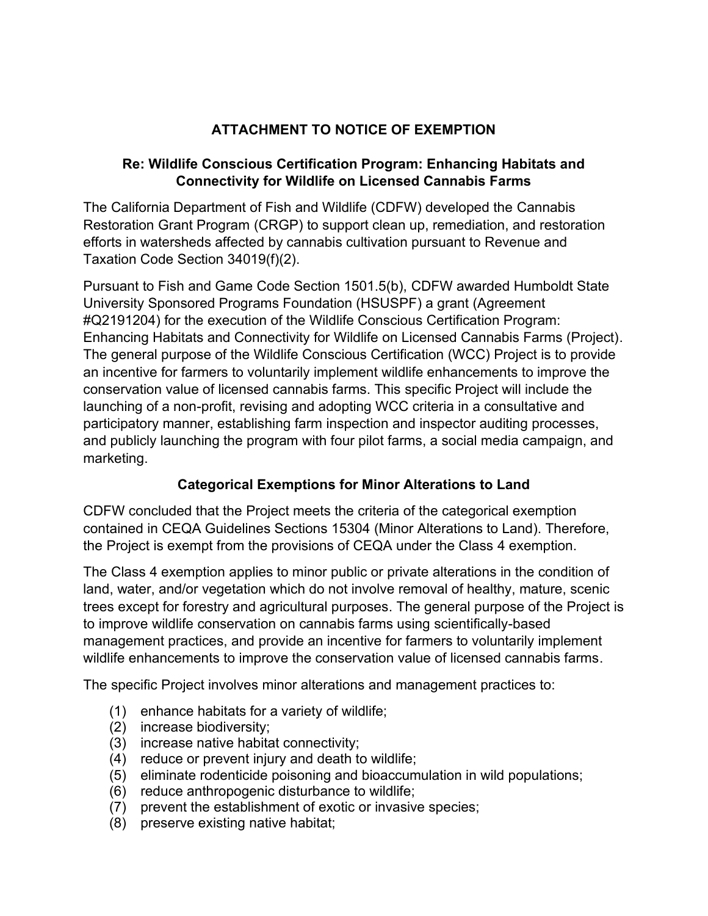# **ATTACHMENT TO NOTICE OF EXEMPTION**

### **Re: Wildlife Conscious Certification Program: Enhancing Habitats and Connectivity for Wildlife on Licensed Cannabis Farms**

The California Department of Fish and Wildlife (CDFW) developed the Cannabis Restoration Grant Program (CRGP) to support clean up, remediation, and restoration efforts in watersheds affected by cannabis cultivation pursuant to Revenue and Taxation Code Section 34019(f)(2).

Pursuant to Fish and Game Code Section 1501.5(b), CDFW awarded Humboldt State University Sponsored Programs Foundation (HSUSPF) a grant (Agreement #Q2191204) for the execution of the Wildlife Conscious Certification Program: Enhancing Habitats and Connectivity for Wildlife on Licensed Cannabis Farms (Project). The general purpose of the Wildlife Conscious Certification (WCC) Project is to provide an incentive for farmers to voluntarily implement wildlife enhancements to improve the conservation value of licensed cannabis farms. This specific Project will include the launching of a non-profit, revising and adopting WCC criteria in a consultative and participatory manner, establishing farm inspection and inspector auditing processes, and publicly launching the program with four pilot farms, a social media campaign, and marketing.

# **Categorical Exemptions for Minor Alterations to Land**

CDFW concluded that the Project meets the criteria of the categorical exemption contained in CEQA Guidelines Sections 15304 (Minor Alterations to Land). Therefore, the Project is exempt from the provisions of CEQA under the Class 4 exemption.

The Class 4 exemption applies to minor public or private alterations in the condition of land, water, and/or vegetation which do not involve removal of healthy, mature, scenic trees except for forestry and agricultural purposes. The general purpose of the Project is to improve wildlife conservation on cannabis farms using scientifically-based management practices, and provide an incentive for farmers to voluntarily implement wildlife enhancements to improve the conservation value of licensed cannabis farms.

The specific Project involves minor alterations and management practices to:

- (1) enhance habitats for a variety of wildlife;
- (2) increase biodiversity;
- (3) increase native habitat connectivity;
- (4) reduce or prevent injury and death to wildlife;
- (5) eliminate rodenticide poisoning and bioaccumulation in wild populations;
- (6) reduce anthropogenic disturbance to wildlife;
- (7) prevent the establishment of exotic or invasive species;
- (8) preserve existing native habitat;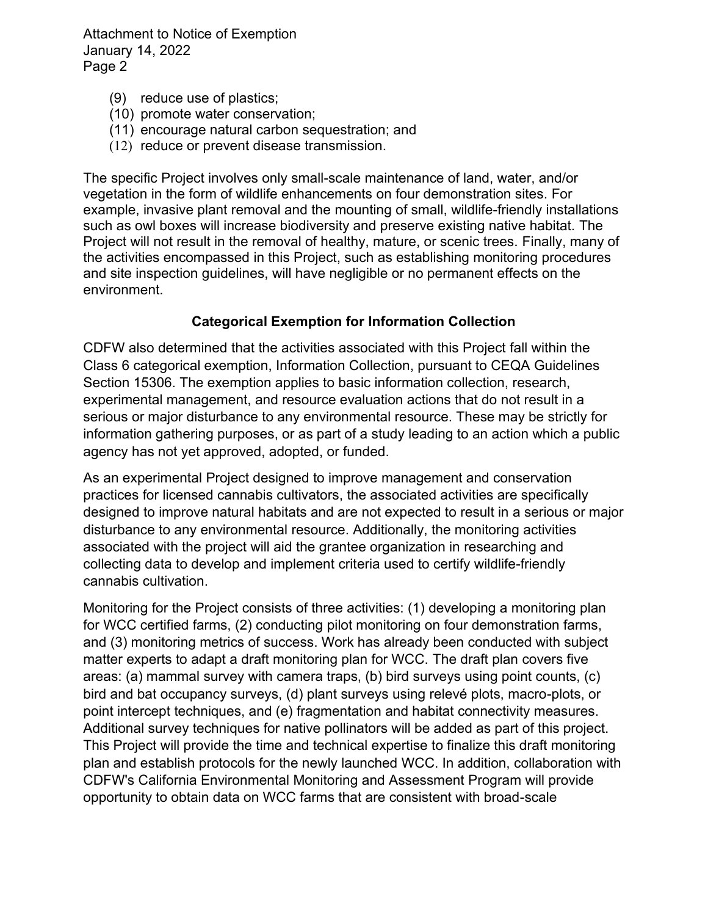Attachment to Notice of Exemption January 14, 2022 Page 2

- (9) reduce use of plastics;
- (10) promote water conservation;
- (11) encourage natural carbon sequestration; and
- (12) reduce or prevent disease transmission.

The specific Project involves only small-scale maintenance of land, water, and/or vegetation in the form of wildlife enhancements on four demonstration sites. For example, invasive plant removal and the mounting of small, wildlife-friendly installations such as owl boxes will increase biodiversity and preserve existing native habitat. The Project will not result in the removal of healthy, mature, or scenic trees. Finally, many of the activities encompassed in this Project, such as establishing monitoring procedures and site inspection guidelines, will have negligible or no permanent effects on the environment.

### **Categorical Exemption for Information Collection**

CDFW also determined that the activities associated with this Project fall within the Class 6 categorical exemption, Information Collection, pursuant to CEQA Guidelines Section 15306. The exemption applies to basic information collection, research, experimental management, and resource evaluation actions that do not result in a serious or major disturbance to any environmental resource. These may be strictly for information gathering purposes, or as part of a study leading to an action which a public agency has not yet approved, adopted, or funded.

As an experimental Project designed to improve management and conservation practices for licensed cannabis cultivators, the associated activities are specifically designed to improve natural habitats and are not expected to result in a serious or major disturbance to any environmental resource. Additionally, the monitoring activities associated with the project will aid the grantee organization in researching and collecting data to develop and implement criteria used to certify wildlife-friendly cannabis cultivation.

Monitoring for the Project consists of three activities: (1) developing a monitoring plan for WCC certified farms, (2) conducting pilot monitoring on four demonstration farms, and (3) monitoring metrics of success. Work has already been conducted with subject matter experts to adapt a draft monitoring plan for WCC. The draft plan covers five areas: (a) mammal survey with camera traps, (b) bird surveys using point counts, (c) bird and bat occupancy surveys, (d) plant surveys using relevé plots, macro-plots, or point intercept techniques, and (e) fragmentation and habitat connectivity measures. Additional survey techniques for native pollinators will be added as part of this project. This Project will provide the time and technical expertise to finalize this draft monitoring plan and establish protocols for the newly launched WCC. In addition, collaboration with CDFW's California Environmental Monitoring and Assessment Program will provide opportunity to obtain data on WCC farms that are consistent with broad-scale